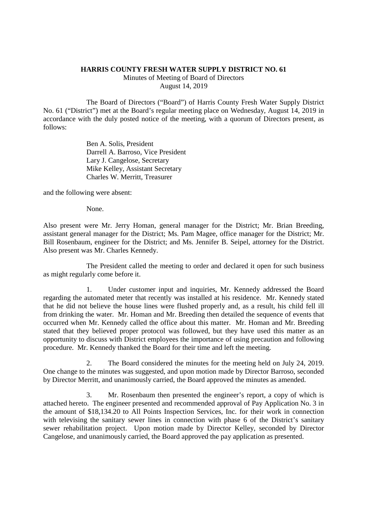## **HARRIS COUNTY FRESH WATER SUPPLY DISTRICT NO. 61**

Minutes of Meeting of Board of Directors August 14, 2019

The Board of Directors ("Board") of Harris County Fresh Water Supply District No. 61 ("District") met at the Board's regular meeting place on Wednesday, August 14, 2019 in accordance with the duly posted notice of the meeting, with a quorum of Directors present, as follows:

> Ben A. Solis, President Darrell A. Barroso, Vice President Lary J. Cangelose, Secretary Mike Kelley, Assistant Secretary Charles W. Merritt, Treasurer

and the following were absent:

None.

Also present were Mr. Jerry Homan, general manager for the District; Mr. Brian Breeding, assistant general manager for the District; Ms. Pam Magee, office manager for the District; Mr. Bill Rosenbaum, engineer for the District; and Ms. Jennifer B. Seipel, attorney for the District. Also present was Mr. Charles Kennedy.

The President called the meeting to order and declared it open for such business as might regularly come before it.

1. Under customer input and inquiries, Mr. Kennedy addressed the Board regarding the automated meter that recently was installed at his residence. Mr. Kennedy stated that he did not believe the house lines were flushed properly and, as a result, his child fell ill from drinking the water. Mr. Homan and Mr. Breeding then detailed the sequence of events that occurred when Mr. Kennedy called the office about this matter. Mr. Homan and Mr. Breeding stated that they believed proper protocol was followed, but they have used this matter as an opportunity to discuss with District employees the importance of using precaution and following procedure. Mr. Kennedy thanked the Board for their time and left the meeting.

2. The Board considered the minutes for the meeting held on July 24, 2019. One change to the minutes was suggested, and upon motion made by Director Barroso, seconded by Director Merritt, and unanimously carried, the Board approved the minutes as amended.

3. Mr. Rosenbaum then presented the engineer's report, a copy of which is attached hereto. The engineer presented and recommended approval of Pay Application No. 3 in the amount of \$18,134.20 to All Points Inspection Services, Inc. for their work in connection with televising the sanitary sewer lines in connection with phase 6 of the District's sanitary sewer rehabilitation project. Upon motion made by Director Kelley, seconded by Director Cangelose, and unanimously carried, the Board approved the pay application as presented.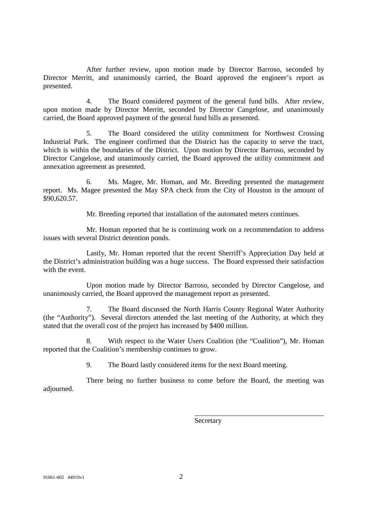After further review, upon motion made by Director Barroso, seconded by Director Merritt, and unanimously carried, the Board approved the engineer's report as presented.

4. The Board considered payment of the general fund bills. After review, upon motion made by Director Merritt, seconded by Director Cangelose, and unanimously carried, the Board approved payment of the general fund bills as presented.

5. The Board considered the utility commitment for Northwest Crossing Industrial Park. The engineer confirmed that the District has the capacity to serve the tract, which is within the boundaries of the District. Upon motion by Director Barroso, seconded by Director Cangelose, and unanimously carried, the Board approved the utility commitment and annexation agreement as presented.

6. Ms. Magee, Mr. Homan, and Mr. Breeding presented the management report. Ms. Magee presented the May SPA check from the City of Houston in the amount of \$90,620.57.

Mr. Breeding reported that installation of the automated meters continues.

Mr. Homan reported that he is continuing work on a recommendation to address issues with several District detention ponds.

Lastly, Mr. Homan reported that the recent Sherriff's Appreciation Day held at the District's administration building was a huge success. The Board expressed their satisfaction with the event.

Upon motion made by Director Barroso, seconded by Director Cangelose, and unanimously carried, the Board approved the management report as presented.

7. The Board discussed the North Harris County Regional Water Authority (the "Authority"). Several directors attended the last meeting of the Authority, at which they stated that the overall cost of the project has increased by \$400 million.

8. With respect to the Water Users Coalition (the "Coalition"), Mr. Homan reported that the Coalition's membership continues to grow.

9. The Board lastly considered items for the next Board meeting.

There being no further business to come before the Board, the meeting was adjourned.

**Secretary**